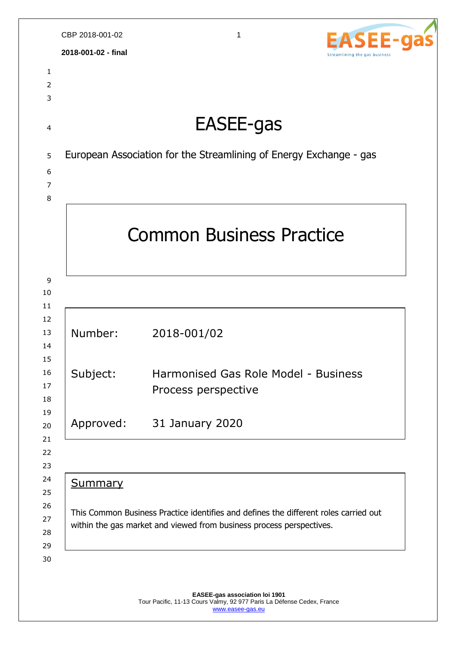| CBP 2018-001-02<br>2018-001-02 - final | 1                                                                  | <b>EASEE-aas</b><br>Streamlining the gas business                                    |
|----------------------------------------|--------------------------------------------------------------------|--------------------------------------------------------------------------------------|
|                                        |                                                                    |                                                                                      |
|                                        | EASEE-gas                                                          |                                                                                      |
|                                        | European Association for the Streamlining of Energy Exchange - gas |                                                                                      |
|                                        | <b>Common Business Practice</b>                                    |                                                                                      |
|                                        |                                                                    |                                                                                      |
| Number:                                | 2018-001/02                                                        |                                                                                      |
| Subject:                               | Harmonised Gas Role Model - Business<br>Process perspective        |                                                                                      |
|                                        | Approved: 31 January 2020                                          |                                                                                      |
| <u>Summary</u>                         |                                                                    |                                                                                      |
|                                        |                                                                    | This Common Business Practice identifies and defines the different roles carried out |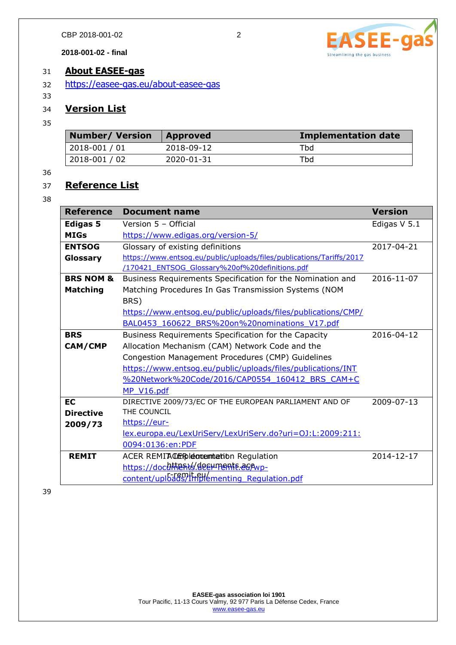

### 31 **About EASEE-gas**

- 32 <https://easee-gas.eu/about-easee-gas>
- 33

# 34 **Version List**

35

| <b>Number/ Version</b> | <b>Approved</b> | <b>Implementation date</b> |
|------------------------|-----------------|----------------------------|
| $ 2018 - 001 / 01$     | 2018-09-12      | Thd                        |
| $ 2018-001/02 $        | 2020-01-31      | Tbd                        |

36

# 37 **Reference List**

38

| <b>Reference</b>     | <b>Document name</b>                                                 | <b>Version</b> |
|----------------------|----------------------------------------------------------------------|----------------|
| <b>Edigas 5</b>      | Version 5 - Official                                                 | Edigas V 5.1   |
| <b>MIGs</b>          | https://www.edigas.org/version-5/                                    |                |
| <b>ENTSOG</b>        | Glossary of existing definitions                                     | 2017-04-21     |
| Glossary             | https://www.entsog.eu/public/uploads/files/publications/Tariffs/2017 |                |
|                      | /170421 ENTSOG Glossary%20of%20definitions.pdf                       |                |
| <b>BRS NOM &amp;</b> | Business Requirements Specification for the Nomination and           | 2016-11-07     |
| <b>Matching</b>      | Matching Procedures In Gas Transmission Systems (NOM                 |                |
|                      | BRS)                                                                 |                |
|                      | https://www.entsog.eu/public/uploads/files/publications/CMP/         |                |
|                      | BAL0453 160622 BRS%20on%20nominations V17.pdf                        |                |
| <b>BRS</b>           | Business Requirements Specification for the Capacity                 | 2016-04-12     |
| CAM/CMP              | Allocation Mechanism (CAM) Network Code and the                      |                |
|                      | Congestion Management Procedures (CMP) Guidelines                    |                |
|                      | https://www.entsoq.eu/public/uploads/files/publications/INT          |                |
|                      | %20Network%20Code/2016/CAP0554 160412 BRS CAM+C                      |                |
|                      | MP V16.pdf                                                           |                |
| <b>EC</b>            | DIRECTIVE 2009/73/EC OF THE EUROPEAN PARLIAMENT AND OF               | 2009-07-13     |
| <b>Directive</b>     | THE COUNCIL                                                          |                |
| 2009/73              | https://eur-                                                         |                |
|                      | lex.europa.eu/LexUriServ/LexUriServ.do?uri=0J:L:2009:211:            |                |
|                      | 0094:0136:en:PDF                                                     |                |
| <b>REMIT</b>         | ACER REMIA Cherple occurred ton Regulation                           | 2014-12-17     |
|                      | https://doc0thents.deeumente.eggwp-                                  |                |
|                      | content/uplo=08571\thplementing Regulation.pdf                       |                |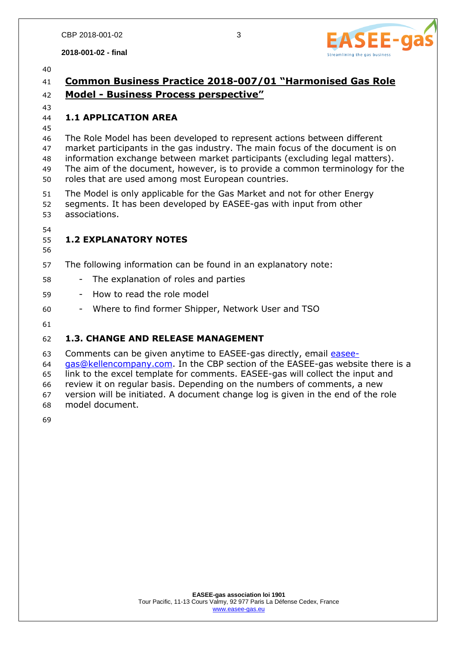

 **Common Business Practice 2018-007/01 "Harmonised Gas Role Model - Business Process perspective"**

# **1.1 APPLICATION AREA**

 The Role Model has been developed to represent actions between different market participants in the gas industry. The main focus of the document is on information exchange between market participants (excluding legal matters). The aim of the document, however, is to provide a common terminology for the roles that are used among most European countries.

 The Model is only applicable for the Gas Market and not for other Energy segments. It has been developed by EASEE-gas with input from other associations.

# **1.2 EXPLANATORY NOTES**

The following information can be found in an explanatory note:

- The explanation of roles and parties
- How to read the role model
- Where to find former Shipper, Network User and TSO

# **1.3. CHANGE AND RELEASE MANAGEMENT**

63 Comments can be given anytime to EASEE-gas directly, email [easee-](mailto:easee-gas@kellencompany.com)

[gas@kellencompany.com.](mailto:easee-gas@kellencompany.com) In the CBP section of the EASEE-gas website there is a link to the excel template for comments. EASEE-gas will collect the input and

review it on regular basis. Depending on the numbers of comments, a new

 version will be initiated. A document change log is given in the end of the role model document.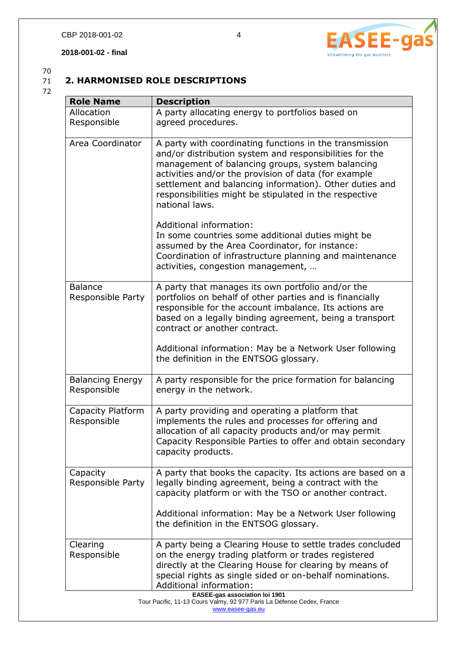# 70

# 72

## **2. HARMONISED ROLE DESCRIPTIONS**

| <b>Role Name</b>                       | <b>Description</b>                                                                                                                                                                                                                                                                                                                                                       |  |  |
|----------------------------------------|--------------------------------------------------------------------------------------------------------------------------------------------------------------------------------------------------------------------------------------------------------------------------------------------------------------------------------------------------------------------------|--|--|
| Allocation<br>Responsible              | A party allocating energy to portfolios based on<br>agreed procedures.                                                                                                                                                                                                                                                                                                   |  |  |
| Area Coordinator                       | A party with coordinating functions in the transmission<br>and/or distribution system and responsibilities for the<br>management of balancing groups, system balancing<br>activities and/or the provision of data (for example<br>settlement and balancing information). Other duties and<br>responsibilities might be stipulated in the respective<br>national laws.    |  |  |
|                                        | Additional information:<br>In some countries some additional duties might be<br>assumed by the Area Coordinator, for instance:<br>Coordination of infrastructure planning and maintenance<br>activities, congestion management,                                                                                                                                          |  |  |
| <b>Balance</b><br>Responsible Party    | A party that manages its own portfolio and/or the<br>portfolios on behalf of other parties and is financially<br>responsible for the account imbalance. Its actions are<br>based on a legally binding agreement, being a transport<br>contract or another contract.<br>Additional information: May be a Network User following<br>the definition in the ENTSOG glossary. |  |  |
| <b>Balancing Energy</b><br>Responsible | A party responsible for the price formation for balancing<br>energy in the network.                                                                                                                                                                                                                                                                                      |  |  |
| Capacity Platform<br>Responsible       | A party providing and operating a platform that<br>implements the rules and processes for offering and<br>allocation of all capacity products and/or may permit<br>Capacity Responsible Parties to offer and obtain secondary<br>capacity products.                                                                                                                      |  |  |
| Capacity<br>Responsible Party          | A party that books the capacity. Its actions are based on a<br>legally binding agreement, being a contract with the<br>capacity platform or with the TSO or another contract.                                                                                                                                                                                            |  |  |
|                                        | Additional information: May be a Network User following<br>the definition in the ENTSOG glossary.                                                                                                                                                                                                                                                                        |  |  |
| Clearing<br>Responsible                | A party being a Clearing House to settle trades concluded<br>on the energy trading platform or trades registered<br>directly at the Clearing House for clearing by means of<br>special rights as single sided or on-behalf nominations.<br>Additional information:                                                                                                       |  |  |
|                                        | <b>EASEE-gas association loi 1901</b><br>Tour Pacific, 11-13 Cours Valmy, 92 977 Paris La Défense Cedex, France                                                                                                                                                                                                                                                          |  |  |

[www.easee-gas.eu](http://www.easee-gas.eu/)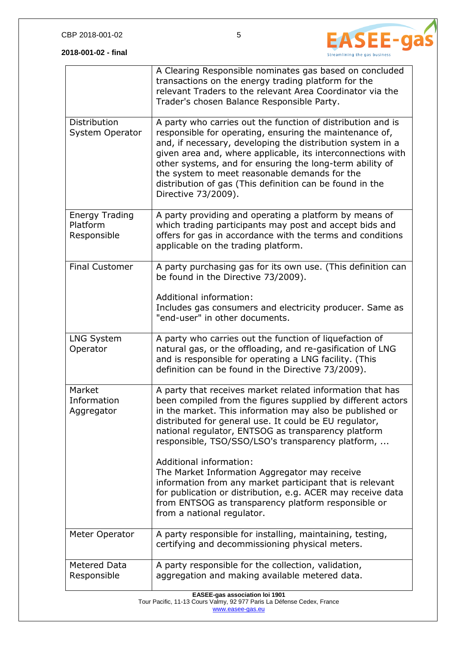

|                                                                                                                                     | A Clearing Responsible nominates gas based on concluded<br>transactions on the energy trading platform for the<br>relevant Traders to the relevant Area Coordinator via the<br>Trader's chosen Balance Responsible Party.                                                                                                                                                                                                                           |  |
|-------------------------------------------------------------------------------------------------------------------------------------|-----------------------------------------------------------------------------------------------------------------------------------------------------------------------------------------------------------------------------------------------------------------------------------------------------------------------------------------------------------------------------------------------------------------------------------------------------|--|
| <b>Distribution</b><br><b>System Operator</b>                                                                                       | A party who carries out the function of distribution and is<br>responsible for operating, ensuring the maintenance of,<br>and, if necessary, developing the distribution system in a<br>given area and, where applicable, its interconnections with<br>other systems, and for ensuring the long-term ability of<br>the system to meet reasonable demands for the<br>distribution of gas (This definition can be found in the<br>Directive 73/2009). |  |
| <b>Energy Trading</b><br>Platform<br>Responsible                                                                                    | A party providing and operating a platform by means of<br>which trading participants may post and accept bids and<br>offers for gas in accordance with the terms and conditions<br>applicable on the trading platform.                                                                                                                                                                                                                              |  |
| <b>Final Customer</b>                                                                                                               | A party purchasing gas for its own use. (This definition can<br>be found in the Directive 73/2009).<br>Additional information:<br>Includes gas consumers and electricity producer. Same as<br>"end-user" in other documents.                                                                                                                                                                                                                        |  |
| <b>LNG System</b><br>Operator                                                                                                       | A party who carries out the function of liquefaction of<br>natural gas, or the offloading, and re-gasification of LNG<br>and is responsible for operating a LNG facility. (This<br>definition can be found in the Directive 73/2009).                                                                                                                                                                                                               |  |
| Market<br>Information<br>Aggregator                                                                                                 | A party that receives market related information that has<br>been compiled from the figures supplied by different actors<br>in the market. This information may also be published or<br>distributed for general use. It could be EU regulator,<br>national regulator, ENTSOG as transparency platform<br>responsible, TSO/SSO/LSO's transparency platform,                                                                                          |  |
|                                                                                                                                     | Additional information:<br>The Market Information Aggregator may receive<br>information from any market participant that is relevant<br>for publication or distribution, e.g. ACER may receive data<br>from ENTSOG as transparency platform responsible or<br>from a national regulator.                                                                                                                                                            |  |
| Meter Operator                                                                                                                      | A party responsible for installing, maintaining, testing,<br>certifying and decommissioning physical meters.                                                                                                                                                                                                                                                                                                                                        |  |
| Metered Data<br>Responsible                                                                                                         | A party responsible for the collection, validation,<br>aggregation and making available metered data.                                                                                                                                                                                                                                                                                                                                               |  |
| <b>EASEE-gas association loi 1901</b><br>Tour Pacific, 11-13 Cours Valmy, 92 977 Paris La Défense Cedex, France<br>www.easee-gas.eu |                                                                                                                                                                                                                                                                                                                                                                                                                                                     |  |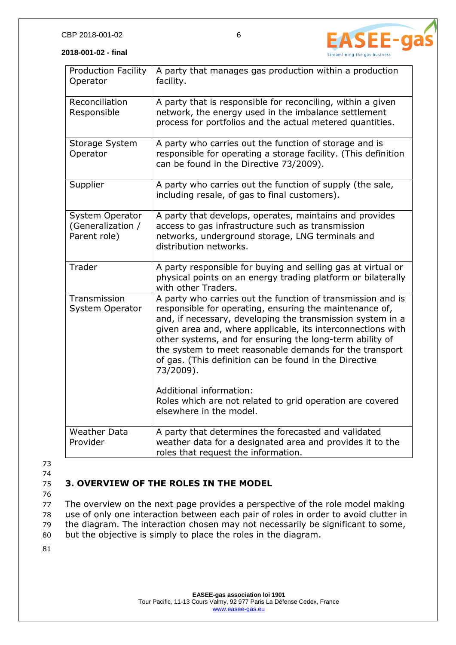| <b>Production Facility</b><br>Operator                      | A party that manages gas production within a production<br>facility.                                                                                                                                                                                                                                                                                                                                                                                                                                                                                                 |
|-------------------------------------------------------------|----------------------------------------------------------------------------------------------------------------------------------------------------------------------------------------------------------------------------------------------------------------------------------------------------------------------------------------------------------------------------------------------------------------------------------------------------------------------------------------------------------------------------------------------------------------------|
| Reconciliation<br>Responsible                               | A party that is responsible for reconciling, within a given<br>network, the energy used in the imbalance settlement<br>process for portfolios and the actual metered quantities.                                                                                                                                                                                                                                                                                                                                                                                     |
| Storage System<br>Operator                                  | A party who carries out the function of storage and is<br>responsible for operating a storage facility. (This definition<br>can be found in the Directive 73/2009).                                                                                                                                                                                                                                                                                                                                                                                                  |
| Supplier                                                    | A party who carries out the function of supply (the sale,<br>including resale, of gas to final customers).                                                                                                                                                                                                                                                                                                                                                                                                                                                           |
| <b>System Operator</b><br>(Generalization /<br>Parent role) | A party that develops, operates, maintains and provides<br>access to gas infrastructure such as transmission<br>networks, underground storage, LNG terminals and<br>distribution networks.                                                                                                                                                                                                                                                                                                                                                                           |
| <b>Trader</b>                                               | A party responsible for buying and selling gas at virtual or<br>physical points on an energy trading platform or bilaterally<br>with other Traders.                                                                                                                                                                                                                                                                                                                                                                                                                  |
| Transmission<br>System Operator                             | A party who carries out the function of transmission and is<br>responsible for operating, ensuring the maintenance of,<br>and, if necessary, developing the transmission system in a<br>given area and, where applicable, its interconnections with<br>other systems, and for ensuring the long-term ability of<br>the system to meet reasonable demands for the transport<br>of gas. (This definition can be found in the Directive<br>73/2009).<br>Additional information:<br>Roles which are not related to grid operation are covered<br>elsewhere in the model. |
| <b>Weather Data</b>                                         | A party that determines the forecasted and validated                                                                                                                                                                                                                                                                                                                                                                                                                                                                                                                 |
| Provider                                                    | weather data for a designated area and provides it to the<br>roles that request the information.                                                                                                                                                                                                                                                                                                                                                                                                                                                                     |

73

74

## 75 **3. OVERVIEW OF THE ROLES IN THE MODEL**

76

77 The overview on the next page provides a perspective of the role model making use of only one interaction between each pair of roles in order to avoid clutter in the diagram. The interaction chosen may not necessarily be significant to some, but the objective is simply to place the roles in the diagram.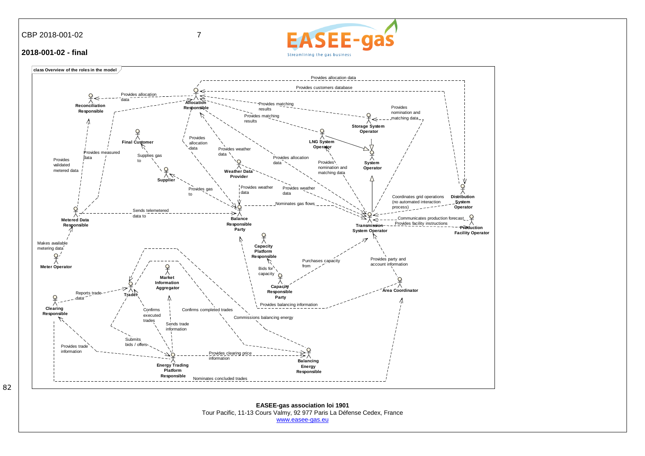

**EASEE-gas association loi 1901** Tour Pacific, 11-13 Cours Valmy, 92 977 Paris La Défense Cedex, France [www.easee-gas.eu](http://www.easee-gas.eu/)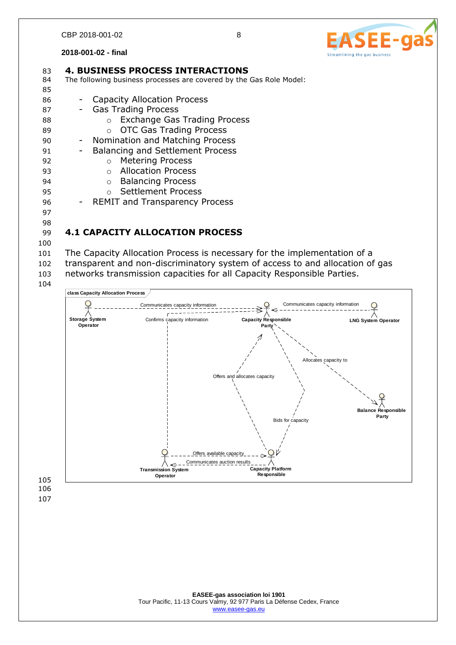85



- The following business processes are covered by the Gas Role Model:
- 86 Capacity Allocation Process
- 87 Gas Trading Process
- 88 **b Exchange Gas Trading Process**
- 89 o OTC Gas Trading Process
- 90 Nomination and Matching Process
- 91 Balancing and Settlement Process
- 92 o Metering Process
- 93 **o** Allocation Process
- 94 o Balancing Process
- 95 o Settlement Process
- 96 REMIT and Transparency Process

#### 98 99 **4.1 CAPACITY ALLOCATION PROCESS**

100

97

101 The Capacity Allocation Process is necessary for the implementation of a 102 transparent and non-discriminatory system of access to and allocation of gas 103 networks transmission capacities for all Capacity Responsible Parties.

### 104



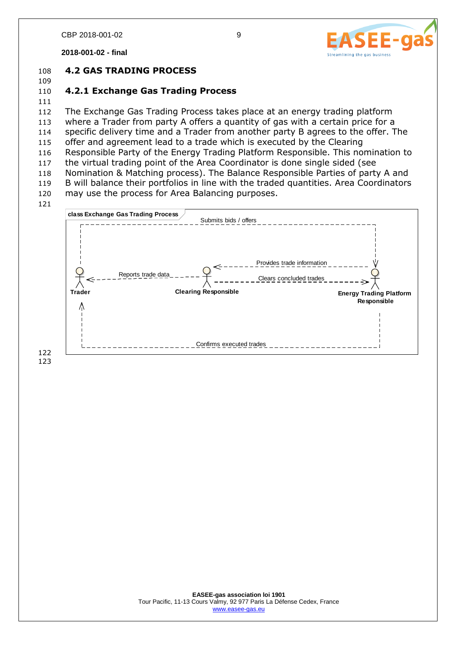# FF. Streamlining the gas busines:

### 108 **4.2 GAS TRADING PROCESS**

#### 109

## 110 **4.2.1 Exchange Gas Trading Process**

111

 The Exchange Gas Trading Process takes place at an energy trading platform where a Trader from party A offers a quantity of gas with a certain price for a specific delivery time and a Trader from another party B agrees to the offer. The offer and agreement lead to a trade which is executed by the Clearing Responsible Party of the Energy Trading Platform Responsible. This nomination to the virtual trading point of the Area Coordinator is done single sided (see Nomination & Matching process). The Balance Responsible Parties of party A and B will balance their portfolios in line with the traded quantities. Area Coordinators may use the process for Area Balancing purposes.

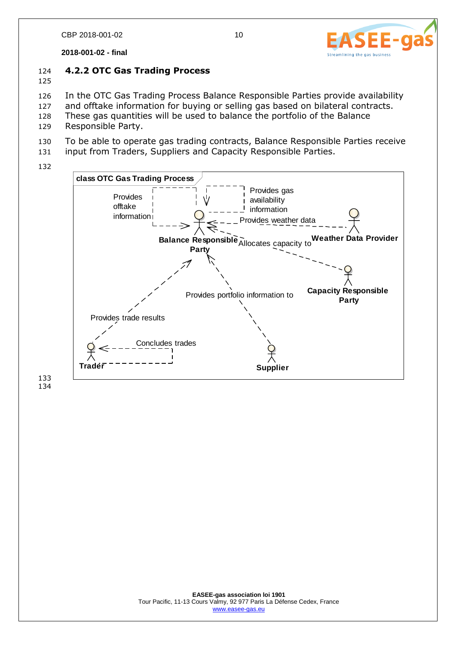

#### 124 **4.2.2 OTC Gas Trading Process**

125

126 In the OTC Gas Trading Process Balance Responsible Parties provide availability

- 127 and offtake information for buying or selling gas based on bilateral contracts.
- 128 These gas quantities will be used to balance the portfolio of the Balance
- 129 Responsible Party.
- 130 To be able to operate gas trading contracts, Balance Responsible Parties receive
- 131 input from Traders, Suppliers and Capacity Responsible Parties.
- 132

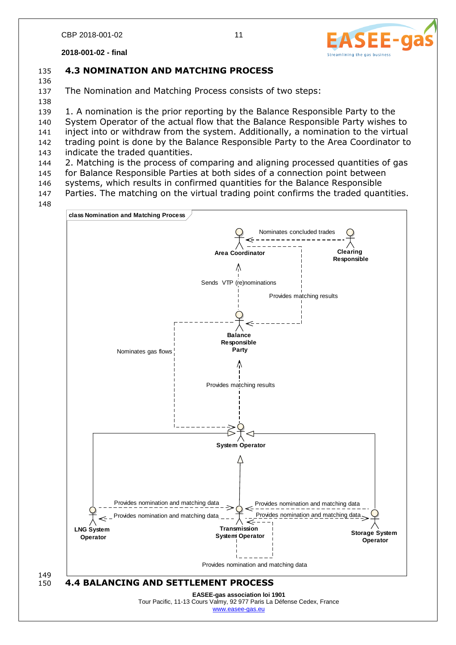# 135 **4.3 NOMINATION AND MATCHING PROCESS**

136

137 The Nomination and Matching Process consists of two steps:

138

 1. A nomination is the prior reporting by the Balance Responsible Party to the System Operator of the actual flow that the Balance Responsible Party wishes to inject into or withdraw from the system. Additionally, a nomination to the virtual trading point is done by the Balance Responsible Party to the Area Coordinator to indicate the traded quantities.

144 2. Matching is the process of comparing and aligning processed quantities of gas 145 for Balance Responsible Parties at both sides of a connection point between 146 systems, which results in confirmed quantities for the Balance Responsible

147 Parties. The matching on the virtual trading point confirms the traded quantities.

148



149

**EASEE-gas association loi 1901** Tour Pacific, 11-13 Cours Valmy, 92 977 Paris La Défense Cedex, France [www.easee-gas.eu](http://www.easee-gas.eu/)

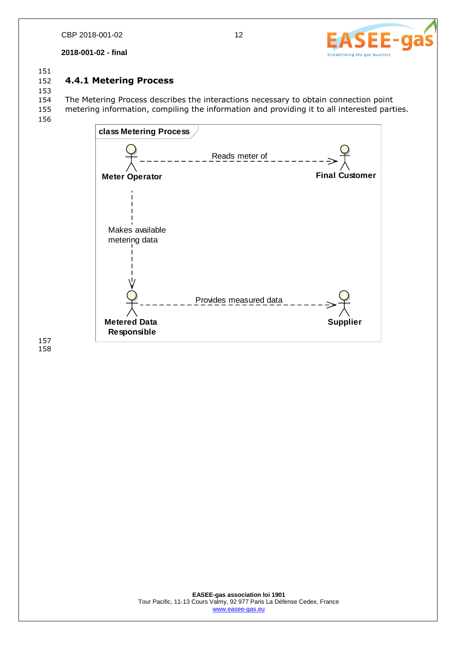

151

## 152 **4.4.1 Metering Process**

153 154 The Metering Process describes the interactions necessary to obtain connection point 155 metering information, compiling the information and providing it to all interested parties. 156

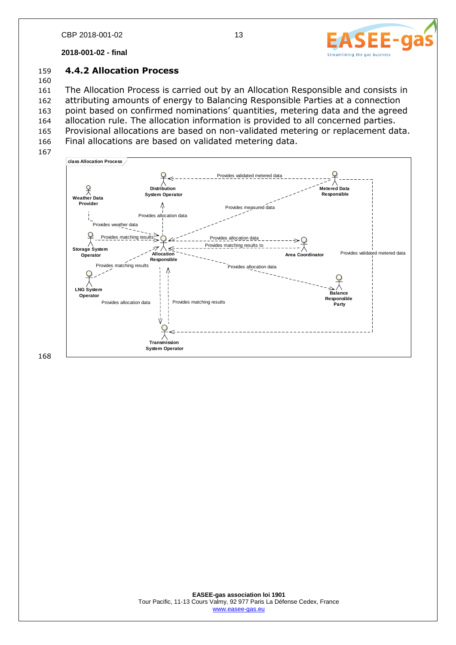## 159 **4.4.2 Allocation Process**

160

 The Allocation Process is carried out by an Allocation Responsible and consists in attributing amounts of energy to Balancing Responsible Parties at a connection point based on confirmed nominations' quantities, metering data and the agreed allocation rule. The allocation information is provided to all concerned parties. Provisional allocations are based on non-validated metering or replacement data. Final allocations are based on validated metering data.

167



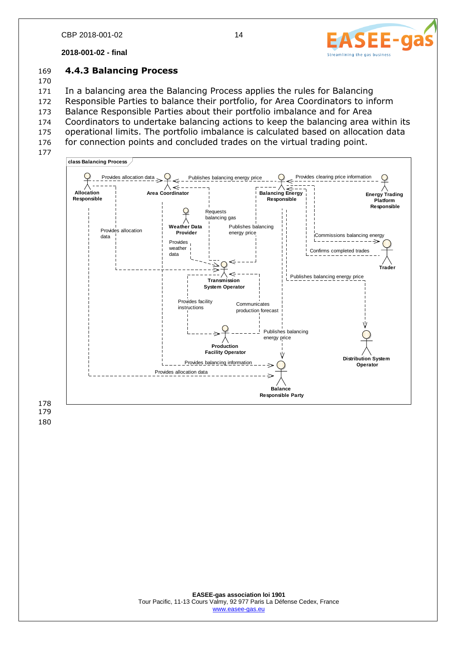

### 169 **4.4.3 Balancing Process**

170

 In a balancing area the Balancing Process applies the rules for Balancing Responsible Parties to balance their portfolio, for Area Coordinators to inform Balance Responsible Parties about their portfolio imbalance and for Area Coordinators to undertake balancing actions to keep the balancing area within its operational limits. The portfolio imbalance is calculated based on allocation data for connection points and concluded trades on the virtual trading point.

177

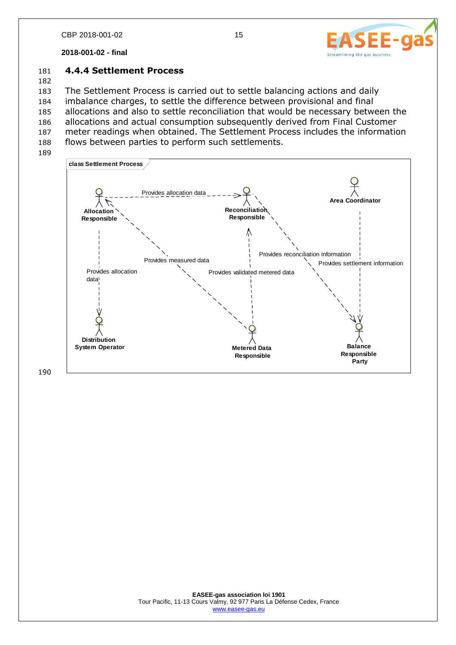# 181 **4.4.4 Settlement Process**

182

 The Settlement Process is carried out to settle balancing actions and daily imbalance charges, to settle the difference between provisional and final allocations and also to settle reconciliation that would be necessary between the allocations and actual consumption subsequently derived from Final Customer meter readings when obtained. The Settlement Process includes the information flows between parties to perform such settlements.